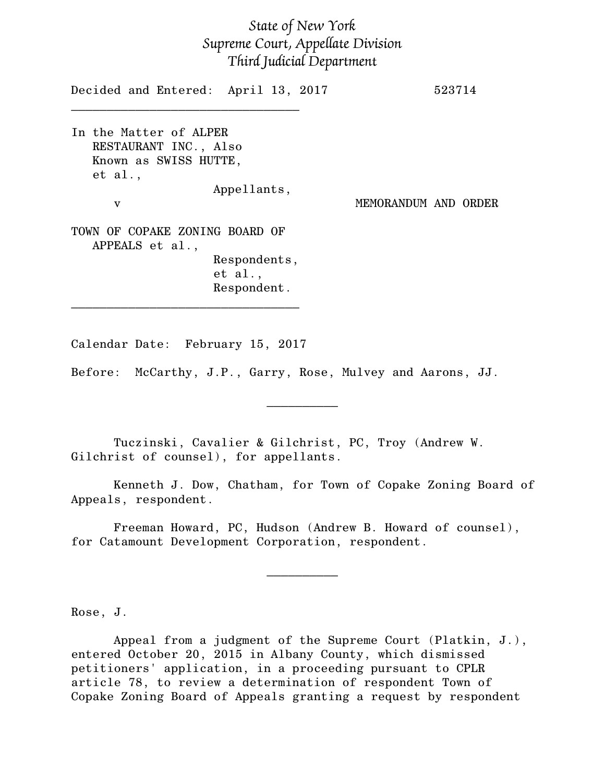## *State of New York Supreme Court, Appellate Division Third Judicial Department*

Decided and Entered: April 13, 2017 523714 \_\_\_\_\_\_\_\_\_\_\_\_\_\_\_\_\_\_\_\_\_\_\_\_\_\_\_\_\_\_\_\_ In the Matter of ALPER RESTAURANT INC., Also Known as SWISS HUTTE, et al., Appellants, v MEMORANDUM AND ORDER TOWN OF COPAKE ZONING BOARD OF APPEALS et al., Respondents, et al., Respondent. \_\_\_\_\_\_\_\_\_\_\_\_\_\_\_\_\_\_\_\_\_\_\_\_\_\_\_\_\_\_\_\_

Calendar Date: February 15, 2017

Before: McCarthy, J.P., Garry, Rose, Mulvey and Aarons, JJ.

Tuczinski, Cavalier & Gilchrist, PC, Troy (Andrew W. Gilchrist of counsel), for appellants.

Kenneth J. Dow, Chatham, for Town of Copake Zoning Board of Appeals, respondent.

 $\frac{1}{2}$ 

Freeman Howard, PC, Hudson (Andrew B. Howard of counsel), for Catamount Development Corporation, respondent.

 $\frac{1}{2}$ 

Rose, J.

Appeal from a judgment of the Supreme Court (Platkin, J.), entered October 20, 2015 in Albany County, which dismissed petitioners' application, in a proceeding pursuant to CPLR article 78, to review a determination of respondent Town of Copake Zoning Board of Appeals granting a request by respondent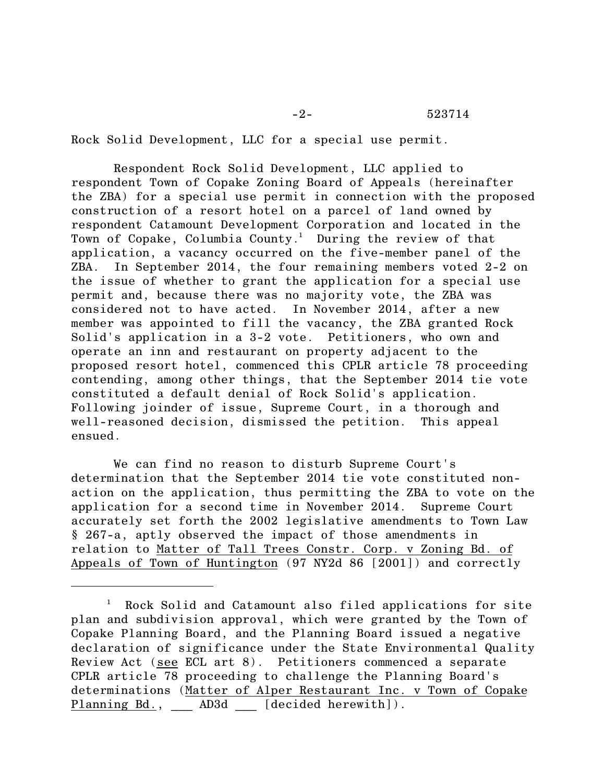-2- 523714

Rock Solid Development, LLC for a special use permit.

Respondent Rock Solid Development, LLC applied to respondent Town of Copake Zoning Board of Appeals (hereinafter the ZBA) for a special use permit in connection with the proposed construction of a resort hotel on a parcel of land owned by respondent Catamount Development Corporation and located in the Town of Copake, Columbia County.<sup>1</sup> During the review of that application, a vacancy occurred on the five-member panel of the ZBA. In September 2014, the four remaining members voted 2-2 on the issue of whether to grant the application for a special use permit and, because there was no majority vote, the ZBA was considered not to have acted. In November 2014, after a new member was appointed to fill the vacancy, the ZBA granted Rock Solid's application in a 3-2 vote. Petitioners, who own and operate an inn and restaurant on property adjacent to the proposed resort hotel, commenced this CPLR article 78 proceeding contending, among other things, that the September 2014 tie vote constituted a default denial of Rock Solid's application. Following joinder of issue, Supreme Court, in a thorough and well-reasoned decision, dismissed the petition. This appeal ensued.

We can find no reason to disturb Supreme Court's determination that the September 2014 tie vote constituted nonaction on the application, thus permitting the ZBA to vote on the application for a second time in November 2014. Supreme Court accurately set forth the 2002 legislative amendments to Town Law § 267-a, aptly observed the impact of those amendments in relation to Matter of Tall Trees Constr. Corp. v Zoning Bd. of Appeals of Town of Huntington (97 NY2d 86 [2001]) and correctly

<sup>&</sup>lt;sup>1</sup> Rock Solid and Catamount also filed applications for site plan and subdivision approval, which were granted by the Town of Copake Planning Board, and the Planning Board issued a negative declaration of significance under the State Environmental Quality Review Act (see ECL art 8). Petitioners commenced a separate CPLR article 78 proceeding to challenge the Planning Board's determinations (Matter of Alper Restaurant Inc. v Town of Copake Planning Bd., AD3d [decided herewith]).